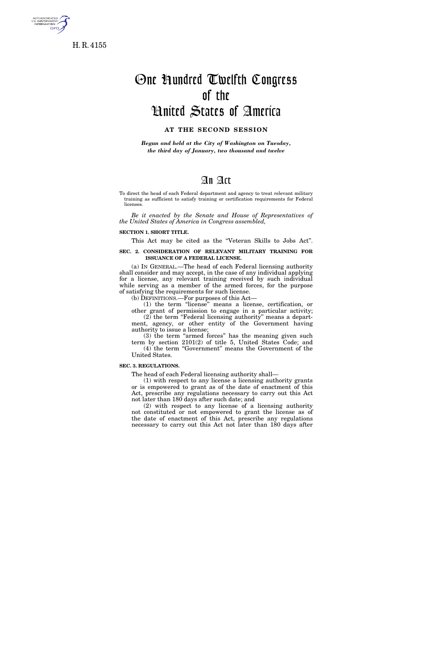

H. R. 4155

# One Hundred Twelfth Congress of the United States of America

## **AT THE SECOND SESSION**

*Begun and held at the City of Washington on Tuesday, the third day of January, two thousand and twelve* 

### An Act

To direct the head of each Federal department and agency to treat relevant military training as sufficient to satisfy training or certification requirements for Federal licenses.

*Be it enacted by the Senate and House of Representatives of the United States of America in Congress assembled,* 

#### **SECTION 1. SHORT TITLE.**

This Act may be cited as the "Veteran Skills to Jobs Act".

#### **SEC. 2. CONSIDERATION OF RELEVANT MILITARY TRAINING FOR ISSUANCE OF A FEDERAL LICENSE.**

(a) IN GENERAL.—The head of each Federal licensing authority shall consider and may accept, in the case of any individual applying for a license, any relevant training received by such individual while serving as a member of the armed forces, for the purpose of satisfying the requirements for such license.

(b) DEFINITIONS.—For purposes of this Act—

(1) the term ''license'' means a license, certification, or other grant of permission to engage in a particular activity; (2) the term ''Federal licensing authority'' means a department, agency, or other entity of the Government having authority to issue a license;

(3) the term ''armed forces'' has the meaning given such term by section 2101(2) of title 5, United States Code; and (4) the term "Government" means the Government of the United States.

#### **SEC. 3. REGULATIONS.**

The head of each Federal licensing authority shall—

(1) with respect to any license a licensing authority grants or is empowered to grant as of the date of enactment of this Act, prescribe any regulations necessary to carry out this Act not later than 180 days after such date; and

(2) with respect to any license of a licensing authority not constituted or not empowered to grant the license as of the date of enactment of this Act, prescribe any regulations necessary to carry out this Act not later than 180 days after